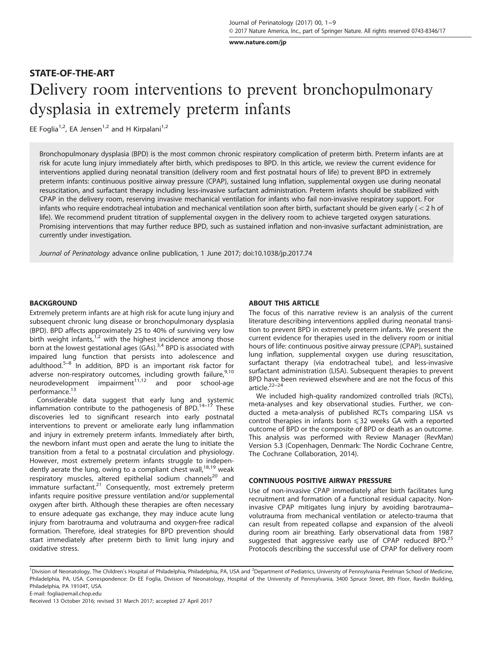[www.nature.com/jp](http://www.nature.com/jp)

# STATE-OF-THE-ART Delivery room interventions to prevent bronchopulmonary dysplasia in extremely preterm infants

EE Foglia<sup>1,2</sup>, EA Jensen<sup>1,2</sup> and H Kirpalani<sup>1,2</sup>

Bronchopulmonary dysplasia (BPD) is the most common chronic respiratory complication of preterm birth. Preterm infants are at risk for acute lung injury immediately after birth, which predisposes to BPD. In this article, we review the current evidence for interventions applied during neonatal transition (delivery room and first postnatal hours of life) to prevent BPD in extremely preterm infants: continuous positive airway pressure (CPAP), sustained lung inflation, supplemental oxygen use during neonatal resuscitation, and surfactant therapy including less-invasive surfactant administration. Preterm infants should be stabilized with CPAP in the delivery room, reserving invasive mechanical ventilation for infants who fail non-invasive respiratory support. For infants who require endotracheal intubation and mechanical ventilation soon after birth, surfactant should be given early ( $<$  2 h of life). We recommend prudent titration of supplemental oxygen in the delivery room to achieve targeted oxygen saturations. Promising interventions that may further reduce BPD, such as sustained inflation and non-invasive surfactant administration, are currently under investigation.

Journal of Perinatology advance online publication, 1 June 2017; doi:[10.1038/jp.2017.74](http://dx.doi.org/10.1038/jp.2017.74)

#### BACKGROUND

Extremely preterm infants are at high risk for acute lung injury and subsequent chronic lung disease or bronchopulmonary dysplasia (BPD). BPD affects approximately 25 to 40% of surviving very low birth weight infants, $1/2$  $1/2$  $1/2$  with the highest incidence among those born at the lowest gestational ages  $(GAs)<sup>3,4</sup>$  $(GAs)<sup>3,4</sup>$  $(GAs)<sup>3,4</sup>$  BPD is associated with impaired lung function that persists into adolescence and adulthood.<sup>5–[8](#page-6-0)</sup> In addition, BPD is an important risk factor for adverse non-respiratory outcomes, including growth failure,  $9,10$ neurodevelopment impairment<sup>[11,12](#page-6-0)</sup> and poor school-age performance.<sup>[13](#page-6-0)</sup>

Considerable data suggest that early lung an[d sy](#page-6-0)stemic inflammation contribute to the pathogenesis of BPD.<sup>14–17</sup> These discoveries led to significant research into early postnatal interventions to prevent or ameliorate early lung inflammation and injury in extremely preterm infants. Immediately after birth, the newborn infant must open and aerate the lung to initiate the transition from a fetal to a postnatal circulation and physiology. However, most extremely preterm infants struggle to indepen-dently aerate the lung, owing to a compliant chest wall,<sup>[18,19](#page-6-0)</sup> weak respiratory muscles, altered epithelial sodium channels<sup>20</sup> and immature surfactant.<sup>[21](#page-6-0)</sup> Consequently, most extremely preterm infants require positive pressure ventilation and/or supplemental oxygen after birth. Although these therapies are often necessary to ensure adequate gas exchange, they may induce acute lung injury from barotrauma and volutrauma and oxygen-free radical formation. Therefore, ideal strategies for BPD prevention should start immediately after preterm birth to limit lung injury and oxidative stress.

#### ABOUT THIS ARTICLE

The focus of this narrative review is an analysis of the current literature describing interventions applied during neonatal transition to prevent BPD in extremely preterm infants. We present the current evidence for therapies used in the delivery room or initial hours of life: continuous positive airway pressure (CPAP), sustained lung inflation, supplemental oxygen use during resuscitation, surfactant therapy (via endotracheal tube), and less-invasive surfactant administration (LISA). Subsequent therapies to prevent BPD h[ave b](#page-6-0)een reviewed elsewhere and are not the focus of this article.<sup>22–24</sup>

We included high-quality randomized controlled trials (RCTs), meta-analyses and key observational studies. Further, we conducted a meta-analysis of published RCTs comparing LISA vs control therapies in infants born  $\leq 32$  weeks GA with a reported outcome of BPD or the composite of BPD or death as an outcome. This analysis was performed with Review Manager (RevMan) Version 5.3 (Copenhagen, Denmark: The Nordic Cochrane Centre, The Cochrane Collaboration, 2014).

## CONTINUOUS POSITIVE AIRWAY PRESSURE

Use of non-invasive CPAP immediately after birth facilitates lung recruitment and formation of a functional residual capacity. Noninvasive CPAP mitigates lung injury by avoiding barotrauma– volutrauma from mechanical ventilation or atelecto-trauma that can result from repeated collapse and expansion of the alveoli during room air breathing. Early observational data from 1987 suggested that aggressive early use of CPAP reduced BPD.<sup>[25](#page-6-0)</sup> Protocols describing the successful use of CPAP for delivery room

<sup>&</sup>lt;sup>1</sup>Division of Neonatology, The Children's Hospital of Philadelphia, Philadelphia, PA, USA and <sup>2</sup>Department of Pediatrics, University of Pennsylvania Perelman School of Medicine, Philadelphia, PA, USA. Correspondence: Dr EE Foglia, Division of Neonatology, Hospital of the University of Pennsylvania, 3400 Spruce Street, 8th Floor, Ravdin Building, Philadelphia, PA 19104T, USA. E-mail: [foglia@email.chop.edu](mailto:foglia@email.chop.edu)

Received 13 October 2016; revised 31 March 2017; accepted 27 April 2017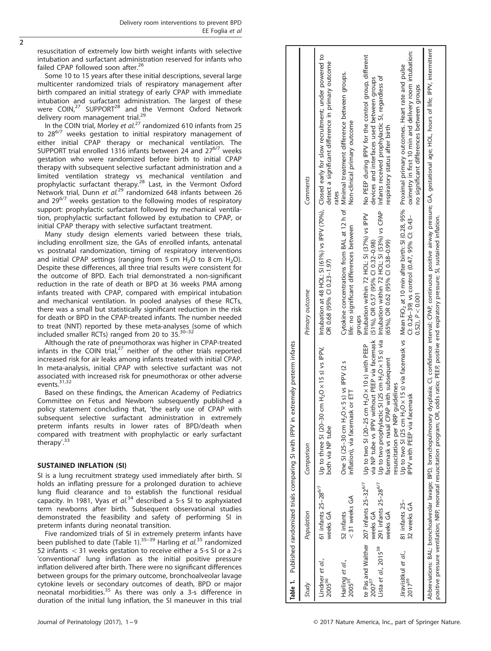<span id="page-1-0"></span>resuscitation of extremely low birth weight infants with selective intubation and surfactant administration reserved for infants who failed CPAP followed soon after.<sup>[26](#page-6-0)</sup>

Some 10 to 15 years after these initial descriptions, several large multicenter randomized trials of respiratory management after birth compared an initial strategy of early CPAP with immediate intubation and surfactant administration. The largest of these were COIN,<sup>[27](#page-6-0)</sup> SUPPORT<sup>[28](#page-6-0)</sup> and the Vermont Oxford Network delivery room management trial.<sup>29</sup>

In the COIN trial, Morley et  $al$ <sup>[27](#page-6-0)</sup> randomized 610 infants from 25 to  $28^{6/7}$  weeks gestation to initial respiratory management of either initial CPAP therapy or mechanical ventilation. The SUPPORT trial enrolled 1316 infants between 24 and  $27^{6/7}$  weeks gestation who were randomized before birth to initial CPAP therapy with subsequent selective surfactant administration and a limited ventilation strategy vs mechanical ventilation and<br>prophylactic surfactant therapy.<sup>[28](#page-6-0)</sup> Last, in the Vermont Oxford Network trial, Dunn et al.<sup>[29](#page-6-0)</sup> randomized 648 infants between 26 and  $29^{6/7}$  weeks gestation to the following modes of respiratory support: prophylactic surfactant followed by mechanical ventilation, prophylactic surfactant followed by extubation to CPAP, or initial CPAP therapy with selective surfactant treatment.

Many study design elements varied between these trials, including enrollment size, the GAs of enrolled infants, antenatal vs postnatal randomization, timing of respiratory interventions and initial CPAP settings (ranging from 5 cm  $H_2O$  to 8 cm  $H_2O$ ). Despite these differences, all three trial results were consistent for the outcome of BPD. Each trial demonstrated a non-significant reduction in the rate of death or BPD at 36 weeks PMA among infants treated with CPAP, compared with empirical intubation and mechanical ventilation. In pooled analyses of these RCTs, there was a small but statistically significant reduction in the risk for death or BPD in the CPAP-treated infants. The number needed to treat (NNT) reported by these meta-analyses (some of which included smaller RCTs) ranged from 20 to 35[.30](#page-6-0)–<sup>32</sup>

Although the rate of pneumothorax was higher in CPAP-treated infants in the COIN trial, $27$  neither of the other trials reported increased risk for air leaks among infants treated with initial CPAP. In meta-analysis, initial CPAP with selective surfactant was not associated with increased risk for pneumothorax or other adverse events.<sup>[31,32](#page-6-0)</sup>

Based on these findings, the American Academy of Pediatrics Committee on Fetus and Newborn subsequently published a policy statement concluding that, 'the early use of CPAP with subsequent selective surfactant administration in extremely preterm infants results in lower rates of BPD/death when compared with treatment with prophylactic or early surfactant therapy'.<sup>[33](#page-6-0)</sup>

## SUSTAINED INFLATION (SI)

SI is a lung recruitment strategy used immediately after birth. SI holds an inflating pressure for a prolonged duration to achieve lung fluid clearance and to establish the functional residual capacity. In 1981, Vyas et  $al^{34}$  $al^{34}$  $al^{34}$  described a 5-s SI to asphyxiated term newborns after birth. Subsequent observational studies demonstrated the feasibility and safety of performing SI in preterm infants during neonatal transition.

Five randomized trials of SI in [extre](#page-7-0)mely preterm infants have been published to date (Table 1).<sup>[35](#page-7-0)–39</sup> Harling *et al.*<sup>35</sup> randomized 52 infants  $<$  31 weeks gestation to receive either a 5-s SI or a 2-s 'conventional' lung inflation as the initial positive pressure inflation delivered after birth. There were no significant differences between groups for the primary outcome, bronchoalveolar lavage cytokine levels or secondary outcomes of death, BPD or major neonatal morbidities.[35](#page-7-0) As there was only a 3-s difference in duration of the initial lung inflation, the SI maneuver in this trial

|                                                        | Table 1. Published randomized trials comparing SI with IPPV in                                                  | extremely preterm infants                                                                                                                                                                                               |                                                                                                                                                                                         |                                                                                                                                                                                                                                                                                |
|--------------------------------------------------------|-----------------------------------------------------------------------------------------------------------------|-------------------------------------------------------------------------------------------------------------------------------------------------------------------------------------------------------------------------|-----------------------------------------------------------------------------------------------------------------------------------------------------------------------------------------|--------------------------------------------------------------------------------------------------------------------------------------------------------------------------------------------------------------------------------------------------------------------------------|
| Study                                                  | Population                                                                                                      | Comparison                                                                                                                                                                                                              | Primary outcome                                                                                                                                                                         | Comments                                                                                                                                                                                                                                                                       |
| Lindner et al.,<br>2005 <sup>36</sup>                  | 61 infants $25-28^{6/7}$<br>weeks GA                                                                            | Up to three SI (20-30 cm H <sub>2</sub> O x 15 s) vs IPPV,<br>both via NP tube                                                                                                                                          | OR 0.68 (95% CI 0.23-1.97)                                                                                                                                                              | Intubation at 48 HOL: SI (61%) vs IPPV (70%), Closed early for slow recruitment; under powered to<br>detect a significant difference in primary outcome                                                                                                                        |
| Harling <i>et al.</i> ,<br>2005 <sup>35</sup>          | $<$ 31 weeks GA<br>52 infants                                                                                   | One SI (25-30 cm H <sub>2</sub> O x 5 s) vs IPPV (2 s<br>inflation), via facemask or ETT                                                                                                                                | life: no significant differences between                                                                                                                                                | Cytokine concentrations from BAL at 12 h of Minimal treatment difference between groups.<br>Non-clinical primary outcome<br>ates                                                                                                                                               |
| Lista et al., 2015 <sup>38</sup><br>2007 <sup>37</sup> | te Pas and Walther 207 infants 25-32 <sup>6/7</sup><br>291 infants 25-28 <sup>6/7</sup><br>weeks GA<br>weeks GA | without PEEP via facemask<br>Up to two prophylactic SI (25 cm H <sub>2</sub> O x 15 s) via<br>cm $H_2O \times 10 s$ ) with PEEP<br>facemask vs nasal CPAP with subsequent<br>Up to two SI (20-25<br>via NP tube vs IPPV | Intubation within 72 HOL: SI (53%) vs CPAP<br>Intubation within 72 HOL: SI (37%) vs IPPV<br>$(51\%)$ , OR 0.57 (95% CI 0.32-0.98)<br>$(65\%)$ , OR 0.62 $(95\%$ Cl 0.38-0.99)<br>aroups | No PEEP during IPPV for the control group, different<br>Infants received prophylactic SI, regardless of<br>devices and interfaces used between groups<br>respiratory status after birth                                                                                        |
| Jiravisitkul et al.,<br>2017 <sup>39</sup>             | 81 infants 25-<br>32 weeks GA                                                                                   | resuscitation per NRP quidelines<br>IPPV with PEEP via facemask                                                                                                                                                         | Cl: 0.26-39) vs control (0.47, 95% Cl: 0.43-<br>$0.52$ ), $P < 0.001$                                                                                                                   | oximetry in first 10 min and delivery room intubation:<br>Up to two SI (25 cm H <sub>2</sub> O x 15 s) via facemask vs Mean FiO <sub>2</sub> at 10 min after birth: SI (0.28, 95% Proximal primary outcomes. Heart rate and pulse<br>no significant differences between groups |
|                                                        |                                                                                                                 | positive pressure ventilation; NRP, neonatal resuscitation program; OR, odds ratio; PEEP, positive end expiratory pressure; SI, sustained inflation.                                                                    |                                                                                                                                                                                         | Abbreviations: BAL: bronchoalveolar lavage; BPD, bronchopulmonary dysplasia; CJ, C, C, C, C, C, CPAP, continuous positive airway pressure; GA, gestational age; HOL, hours of life; IPPV, intermittent                                                                         |
|                                                        |                                                                                                                 |                                                                                                                                                                                                                         |                                                                                                                                                                                         |                                                                                                                                                                                                                                                                                |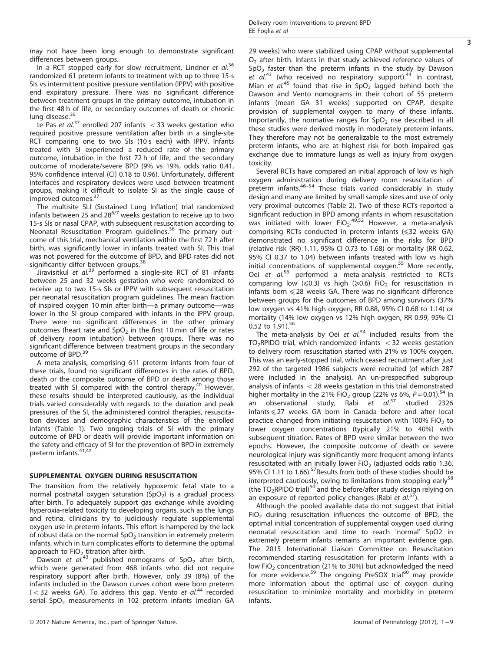$\overline{\overline{3}}$ 

may not have been long enough to demonstrate significant differences between groups.

In a RCT stopped early for slow recruitment, Lindner et  $al.^{36}$  $al.^{36}$  $al.^{36}$ randomized 61 preterm infants to treatment with up to three 15-s SIs vs intermittent positive pressure ventilation (IPPV) with positive end expiratory pressure. There was no significant difference between treatment groups in the primary outcome, intubation in the first 48 h of life, or secondary outcomes of death or chronic lung disease.<sup>[36](#page-7-0)</sup>

te Pas et  $al^{37}$  $al^{37}$  $al^{37}$  enrolled 207 infants  $<$  33 weeks gestation who required positive pressure ventilation after birth in a single-site RCT comparing one to two SIs (10 s each) with IPPV. Infants treated with SI experienced a reduced rate of the primary outcome, intubation in the first 72 h of life, and the secondary outcome of moderate/severe BPD (9% vs 19%, odds ratio 0.41, 95% confidence interval (CI) 0.18 to 0.96). Unfortunately, different interfaces and respiratory devices were used between treatment groups, making it difficult to isolate SI as the single cause of improved outcomes.[37](#page-7-0)

The multisite SLI (Sustained Lung Inflation) trial randomized infants between 25 and  $28^{6/7}$  weeks gestation to receive up to two 15-s SIs or nasal CPAP, with subsequent resuscitation according to Neonatal Resuscitation Program guidelines.[38](#page-7-0) The primary outcome of this trial, mechanical ventilation within the first 72 h after birth, was significantly lower in infants treated with SI. This trial was not powered for the outcome of BPD, and BPD rates did not significantly differ between groups.<sup>[38](#page-7-0)</sup>

Jiravisitkul et  $al^{39}$  $al^{39}$  $al^{39}$  performed a single-site RCT of 81 infants between 25 and 32 weeks gestation who were randomized to receive up to two 15-s SIs or IPPV with subsequent resuscitation per neonatal resuscitation program guidelines. The mean fraction of inspired oxygen 10 min after birth—a primary outcome—was lower in the SI group compared with infants in the IPPV group. There were no significant differences in the other primary outcomes (heart rate and  $SpO<sub>2</sub>$  in the first 10 min of life or rates of delivery room intubation) between groups. There was no significant difference between treatment groups in the secondary outcome of BPD.<sup>[39](#page-7-0)</sup>

A meta-analysis, comprising 611 preterm infants from four of these trials, found no significant differences in the rates of BPD, death or the composite outcome of BPD or death among those treated with SI compared with the control therapy.<sup>[40](#page-7-0)</sup> However, these results should be interpreted cautiously, as the individual trials varied considerably with regards to the duration and peak pressures of the SI, the administered control therapies, resuscitation devices and demographic characteristics of the enrolled infants [\(Table 1](#page-1-0)). Two ongoing trials of SI with the primary outcome of BPD or death will provide important information on the safety and efficacy of SI for the prevention of BPD in extremely preterm infants.<sup>[41,42](#page-7-0)</sup>

### SUPPLEMENTAL OXYGEN DURING RESUSCITATION

The transition from the relatively hypoxemic fetal state to a normal postnatal oxygen saturation  $(SpO<sub>2</sub>)$  is a gradual process after birth. To adequately support gas exchange while avoiding hyperoxia-related toxicity to developing organs, such as the lungs and retina, clinicians try to judiciously regulate supplemental oxygen use in preterm infants. This effort is hampered by the lack of robust data on the normal  $SpO<sub>2</sub>$  transition in extremely preterm infants, which in turn complicates efforts to determine the optimal

approach to FiO<sub>2</sub> titration after birth.<br>Dawson *et al.*<sup>[43](#page-7-0)</sup> published nomograms of SpO<sub>2</sub> after birth, which were generated from 468 infants who did not require respiratory support after birth. However, only 39 (8%) of the infants included in the Dawson curves cohort were born preterm  $(<$  32 weeks GA). To address this gap, Vento et al.<sup>[44](#page-7-0)</sup> recorded serial  $SpO<sub>2</sub>$  measurements in 102 preterm infants (median GA 29 weeks) who were stabilized using CPAP without supplemental  $O<sub>2</sub>$  after birth. Infants in that study achieved reference values of  $SpO<sub>2</sub>$  faster than the preterm infants in the study by Dawson et  $aI^{43}$  $aI^{43}$  $aI^{43}$  (who received no respiratory support).<sup>[44](#page-7-0)</sup> In contrast, Mian et  $al^{45}$  $al^{45}$  $al^{45}$  found that rise in SpO<sub>2</sub> lagged behind both the Dawson and Vento nomograms in their cohort of 55 preterm infants (mean GA 31 weeks) supported on CPAP, despite provision of supplemental oxygen to many of these infants. Importantly, the normative ranges for  $SpO<sub>2</sub>$  rise described in all these studies were derived mostly in moderately preterm infants. They therefore may not be generalizable to the most extremely preterm infants, who are at highest risk for both impaired gas exchange due to immature lungs as well as injury from oxygen toxicity.

Several RCTs have compared an initial approach of low vs high oxygen administration during delivery room resuscitation of preterm infants[.46](#page-7-0)–<sup>54</sup> These trials varied considerably in study design and many are limited by small sample sizes and use of only very proximal outcomes ([Table 2\)](#page-3-0). Two of these RCTs reported a significant reduction in BPD among infants in whom resuscitation was initiated with lower  $FiO<sub>2</sub>$ . However, a meta-analysis comprising RCTs conducted in preterm infants (⩽32 weeks GA) demonstrated no significant difference in the risks for BPD (relative risk (RR) 1.11, 95% CI 0.73 to 1.68) or mortality (RR 0.62, 95% CI 0.37 to 1.04) between infants treated with low vs high initial concentrations of supplemental oxygen.<sup>[55](#page-7-0)</sup> More recently, Oei et al.[56](#page-7-0) performed a meta-analysis restricted to RCTs comparing low ( $\leq 0.3$ ) vs high ( $\geq 0.6$ ) FiO<sub>2</sub> for resuscitation in infants born  $\leq 28$  weeks GA. There was no significant difference between groups for the outcomes of BPD among survivors (37% low oxygen vs 41% high oxygen, RR 0.88, 95% CI 0.68 to 1.14) or mortality (14% low oxygen vs 12% high oxygen, RR 0.99, 95% CI 0.52 to  $1.91$ .<sup>[56](#page-7-0)</sup>

The meta-analysis by Oei et  $al^{54}$  $al^{54}$  $al^{54}$  included results from the  $TO<sub>2</sub>RPIDO$  trial, which randomized infants  $<$  32 weeks gestation to delivery room resuscitation started with 21% vs 100% oxygen. This was an early-stopped trial, which ceased recruitment after just 292 of the targeted 1986 subjects were recruited (of which 287 were included in the analysis). An un-prespecified subgroup analysis of infants  $<$  28 weeks gestation in this trial demonstrated higher mortality in the 21% FiO<sub>2</sub> group (22% vs 6%,  $P = 0.01$ ).<sup>[54](#page-7-0)</sup> In an observational study, Rabi et al.<sup>[57](#page-7-0)</sup> studied 2326  $infants \leq 27$  weeks GA born in Canada before and after local practice changed from initiating resuscitation with 100% FiO<sub>2</sub> to lower oxygen concentrations (typically 21% to 40%) with subsequent titration. Rates of BPD were similar between the two epochs. However, the composite outcome of death or severe neurological injury was significantly more frequent among infants resuscitated with an initially lower FiO<sub>2</sub> (adjusted odds ratio 1.36, 95% CI 1.11 to 1.66).<sup>57</sup>Results from both of these studies should be interpreted cautiously, owing to limitations from stopping early<sup>[58](#page-7-0)</sup> (the TO<sub>2</sub>RPIDO trial)<sup>[54](#page-7-0)</sup> and the before/after study design relying on an exposure of reported policy changes (Rabi et  $al.5^{\overline{7}}$ ).

Although the pooled available data do not suggest that initial FiO<sub>2</sub> during resuscitation influences the outcome of BPD, the optimal initial concentration of supplemental oxygen used during neonatal resuscitation and time to reach 'normal' SpO2 in extremely preterm infants remains an important evidence gap. The 2015 International Liaison Committee on Resuscitation recommended starting resuscitation for preterm infants with a low FiO<sub>2</sub> concentration (21% to 30%) but acknowledged the need for more evidence.<sup>[59](#page-7-0)</sup> The ongoing PreSOX trial<sup>[60](#page-7-0)</sup> may provide more information about the optimal use of oxygen during resuscitation to minimize mortality and morbidity in preterm infants.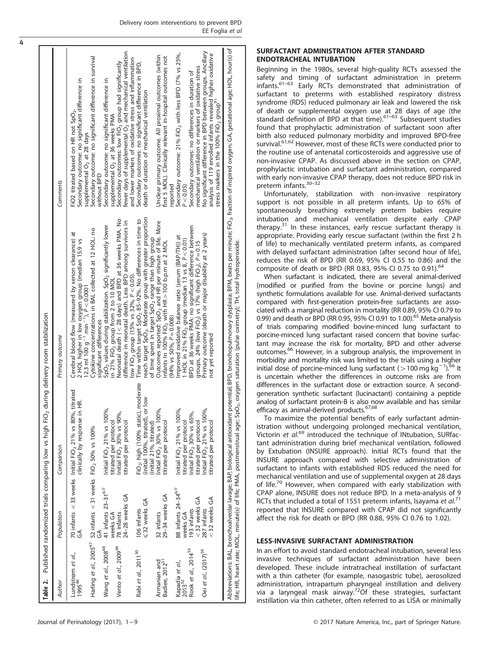<span id="page-3-0"></span>

| Table 2.                                   |                        |                                 | Published randomized trials comparing low vs high FiO <sub>2</sub> during delivery room stabilization |                                                                                                                                                                                                                                                                                                                    |                                                                                                                                                                                             |
|--------------------------------------------|------------------------|---------------------------------|-------------------------------------------------------------------------------------------------------|--------------------------------------------------------------------------------------------------------------------------------------------------------------------------------------------------------------------------------------------------------------------------------------------------------------------|---------------------------------------------------------------------------------------------------------------------------------------------------------------------------------------------|
| Author                                     | Population             |                                 | Comparison                                                                                            | Primary outcome                                                                                                                                                                                                                                                                                                    | Comments                                                                                                                                                                                    |
| Lundstrøm et al.,<br>199546                | E                      |                                 | 70 infants < 33 weeks Initial FiO <sub>2</sub> 21% vs 80%, titrated<br>clinically by response in HR.  | Cerebral blood flow (measured by xenon clearance) at<br>2 HOL higher in low oxygen group (median 15.9 vs<br>12.3 ml 100 g <sup>-1</sup> min <sup>-1</sup> ), $\bar{P}$ < 0.000                                                                                                                                     | Secondary outcome: no significant difference in<br>FiO2 titrated based on HR not SpO <sub>2</sub> .                                                                                         |
|                                            | GA                     |                                 | Harling et al., $2005^{47}$ 52 infants < 31 weeks FiO <sub>2</sub> 50% vs 100%                        | Cytokine concentrations in BAL collected at 12 HOL: no<br>significant differences                                                                                                                                                                                                                                  | Secondary outcome: no significant difference in survival<br>supplemental O <sub>2</sub> at 28 days<br>without BPD                                                                           |
| Wang et al., 2008 <sup>48</sup>            |                        | 41 infants 23-31 <sup>6/7</sup> | Initial FiO <sub>2</sub> 21% vs 100%,                                                                 | SpO <sub>2</sub> values during stabilization. SpO <sub>2</sub> significantly lower                                                                                                                                                                                                                                 | Secondary outcome: no significant difference in                                                                                                                                             |
| Vento et al., 2009 <sup>49</sup>           | weeks GA<br>78 infants | 24-28 weeks GA                  | Initial FiO <sub>2</sub> 30% vs 90%,<br>titrated per protocol<br>titrated per protocol                | Neonatal death (< 28 days) and BPD at 36 weeks PMA. No<br>difference in neonatal death. Less BPD among survivors in<br>in 21% $FIO2$ group from 2 to 10 MOL                                                                                                                                                        | fewer days of supplemental O <sub>2</sub> and mechanical ventilation<br>Secondary outcomes: low FiO <sub>2</sub> group had significantly<br>supplemental O <sub>2</sub> at 36 weeks PMA     |
| Rabi et al., 2011 <sup>50</sup>            | 106 infants            | ≤32 weeks GA                    | FiO <sub>2</sub> : high (100% static), moderate<br>or low<br>(initial 100%, titrated),                | reach target SpO <sub>2</sub> . Moderate group with greater proportion<br>Time within target SpO <sub>2</sub> 85-92%. No differences in time to<br>low FiO <sub>2</sub> group (15% vs 32%, $P < 0.05$ ).                                                                                                           | and lower markers of oxidative stress and inflammation<br>Secondary outcomes: no significant difference in BPD,<br>death or duration of mechanical ventilation                              |
| Armanian and<br>Badiee, 2012 <sup>51</sup> | 32 infants             | 29-34 weeks GA                  | Initial FiO <sub>2</sub> 30% vs 100%,<br>(initial 21%, titrated)<br>titrated per protocol             | Outcomes reported: SpO <sub>2</sub> and HR per minute of life. More<br>of time spent in target SpO <sub>2</sub> range than high group<br>infants In 100% $FIO2$ with HR $>$ 100 b.p.m at 2 MOL<br>$(94\% \text{ vs } 50\% , P = 0.008)$                                                                            | Unclear primary outcome. All proximal outcomes (within<br>first 5 MOL). Clinically relevant in-hospital outcomes not                                                                        |
| Kapadia et al.,<br>2013 <sup>52</sup>      | weeks GA               | 88 infants 24-34 <sup>6/7</sup> | Initial FiO <sub>2</sub> 21% vs 100%,<br>titrated per protocol                                        | Improved oxidative balance ratio (serum (BAP/TH)) at<br>1 HOL in 21% FiO <sub>2</sub> group (median 13 vs 8, P < 0.01)                                                                                                                                                                                             | Secondary outcome: 21% FiO <sub>2</sub> with less BPD (7% vs 25%,<br>$P < 0.05$ )<br>reported                                                                                               |
| Rook et al., 2014 <sup>53</sup>            | 193 infants            | $<$ 32 weeks GA                 | Initial FiO <sub>2</sub> 30% vs 65%,<br>titrated per protocol                                         | BPD at 36 weeks PMA: no significant difference between<br>groups, 24% (low FiO <sub>2</sub> ) vs 17% (high FiO <sub>2</sub> ), $P = 0.15$                                                                                                                                                                          | mechanical ventilation or markers of oxidative stress<br>Secondary outcomes: no differences in duration of                                                                                  |
| Oei et al., (2017) <sup>54</sup>           | 287 infants            | < 32 weeks GA                   | Initial FiO <sub>2</sub> 21% vs 100%,<br>titrated per protocol                                        | Primary outcome (death or major disability at 2 years)<br>not yet reported                                                                                                                                                                                                                                         | No significant difference in BPD between groups. Ancillary<br>analysis of 119 enrolled infants revealed higher oxidative<br>stress markers in the 100% FiO <sub>2</sub> group <sup>91</sup> |
|                                            |                        |                                 | life; HR, heart rate; MOL, minute(s) of life; PMA, postmenstrual age;                                 | Abbreviations: BAL, bronchoalveolar lavage; BAP, biological antioxidant potential; BPD, bronchopulmonary dysplasia; BPM, beats per minute; FiO <sub>2</sub> , fraction of inspired oxygen; GA, gestational age; HOL, hour(s) of<br>SpO <sub>2</sub> , oxygen saturation (pulse oximetry); TH, total hydroperoxide. |                                                                                                                                                                                             |

### SURFACTANT ADMINISTRATION AFTER STANDARD ENDOTRACHEAL INTUBATION

Beginning in the 1980s, several high-quality RCTs assessed the safety and timing of surfactant administration in preterm infants[.61](#page-7-0)–<sup>63</sup> Early RCTs demonstrated that administration of surfactant to preterms with established respiratory distress syndrome (RDS) reduced pulmonary air leak and lowered the risk of death or supplemental oxygen use [at 2](#page-7-0)8 days of age (the<br>standard definition of BPD at that time).<sup>61–63</sup> Subsequent studies found that prophylactic administration of surfactant soon after birth also reduced pulmonary morbidity and improved BPD-free survival.<sup>[61](#page-7-0),[62](#page-7-0)</sup> However, most of these RCTs were conducted prior to the routine use of antenatal corticosteroids and aggressive use of non-invasive CPAP. As discussed above in the section on CPAP, prophylactic intubation and surfactant administration, compared with early non-invasive CPAP therapy, does not reduce BPD risk in preterm infants.30–[32](#page-6-0)

Unfortunately, stabilization with non-invasive respiratory support is not possible in all preterm infants. Up to 65% of spontaneously breathing extremely preterm babies require intubation and mechanical ventilation despite early CPAP therapy. $31$  In these instances, early rescue surfactant therapy is appropriate. Providing early rescue surfactant (within the first 2 h of life) to mechanically ventilated preterm infants, as compared with delayed surfactant administration (after second hour of life), reduces the risk of BPD (RR 0.69, 95% CI 0.55 to 0.86) and the composite of death or BPD (RR 0.83, 95% CI 0.75 to 0.91).<sup>[64](#page-7-0)</sup>

When surfactant is indicated, there are several animal-derived (modified or purified from the bovine or porcine lungs) and synthetic formulations available for use. Animal-derived surfactants compared with first-generation protein-free surfactants are associated with a marginal reduction in mortality (RR 0.89, 95% CI 0.79 to 0.99) and death or BPD (RR 0.95, 95% CI 0.91 to 1.00).<sup>[65](#page-7-0)</sup> Meta-analysis of trials comparing modified bovine-minced lung surfactant to porcine-minced lung surfactant raised concern that bovine surfactant may increase the risk for mortality, BPD and other adverse outcomes.<sup>[66](#page-7-0)</sup> However, in a subgroup analysis, the improvement in morbidity and mortality risk was limited to the trials using a higher initial dose of porcine-minced lung surfactant (> 100 mg kg  $^{-1}$ ).<sup>66</sup> It is uncertain whether the differences in outcome risks are from differences in the surfactant dose or extraction source. A secondgeneration synthetic surfactant (lucinactant) containing a peptide analog of surfactant protein-B is also now available and has similar efficacy as animal-derived products.<sup>67,68</sup>

To maximize the potential benefits of early surfactant administration without undergoing prolonged mechanical ventilation, Victorin et al.<sup>[69](#page-7-0)</sup> introduced the technique of INtubation, SURfactant administration during brief mechanical ventilation, followed by Extubation (INSURE approach). Initial RCTs found that the INSURE approach compared with selective administration of surfactant to infants with established RDS reduced the need for mechanical ventilation and use of supplemental oxygen at 28 days of life.<sup>[70](#page-7-0)</sup> However, when compared with early stabilization with CPAP alone, INSURE does not reduce BPD. In a meta-analysis of 9 RCTs that included a total of 1551 preterm infants, Isayama et  $al.^{71}$  $al.^{71}$  $al.^{71}$ reported that INSURE compared with CPAP did not significantly affect the risk for death or BPD (RR 0.88, 95% CI 0.76 to 1.02).

# LESS-INVASIVE SURFACTANT ADMINISTRATION

In an effort to avoid standard endotracheal intubation, several less invasive techniques of surfactant administration have been developed. These include intratracheal instillation of surfactant with a thin catheter (for example, nasogastric tube), aerosolized administration, intrapartum pharyngeal instillation and delivery via a laryngeal mask airway.<sup>[72](#page-7-0)</sup>Of these strategies, surfactant instillation via thin catheter, often referred to as LISA or minimally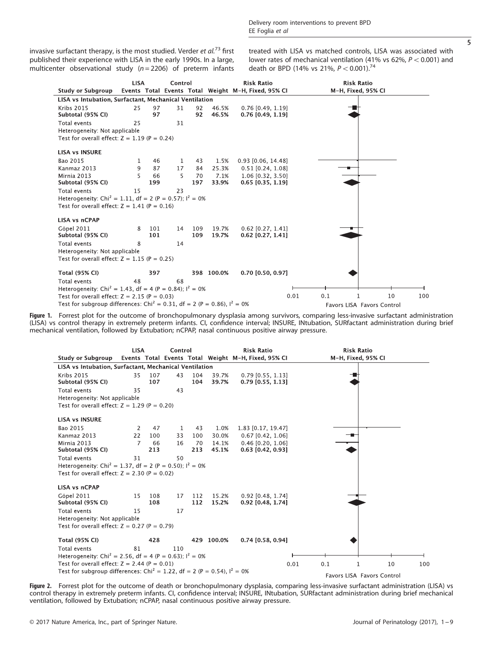<span id="page-4-0"></span>invasive surfactant therapy, is the most studied. Verder et  $al^{73}$  $al^{73}$  $al^{73}$  first published their experience with LISA in the early 1990s. In a large, multicenter observational study ( $n = 2206$ ) of preterm infants treated with LISA vs matched controls, LISA was associated with lower rates of mechanical ventilation (41% vs 62%,  $P < 0.001$ ) and death or BPD (14% vs 21%,  $P < 0.001$ ).<sup>[74](#page-7-0)</sup>



Figure 1. Forrest plot for the outcome of bronchopulmonary dysplasia among survivors, comparing less-invasive surfactant administration (LISA) vs control therapy in extremely preterm infants. CI, confidence interval; INSURE, INtubation, SURfactant administration during brief mechanical ventilation, followed by Extubation; nCPAP, nasal continuous positive airway pressure.

|                                                                                        | <b>LISA</b>    |            | Control |            | <b>Risk Ratio</b> |                                                     |     | <b>Risk Ratio</b>          |     |  |
|----------------------------------------------------------------------------------------|----------------|------------|---------|------------|-------------------|-----------------------------------------------------|-----|----------------------------|-----|--|
| <b>Study or Subgroup</b>                                                               |                |            |         |            |                   | Events Total Events Total Weight M-H, Fixed, 95% CI |     | M-H, Fixed, 95% CI         |     |  |
| LISA vs Intubation, Surfactant, Mechanical Ventilation                                 |                |            |         |            |                   |                                                     |     |                            |     |  |
| <b>Kribs 2015</b><br>Subtotal (95% CI)                                                 | 35             | 107<br>107 | 43      | 104<br>104 | 39.7%<br>39.7%    | $0.79$ [0.55, 1.13]<br>$0.79$ [0.55, 1.13]          |     |                            |     |  |
| Total events                                                                           | 35             |            | 43      |            |                   |                                                     |     |                            |     |  |
| Heterogeneity: Not applicable                                                          |                |            |         |            |                   |                                                     |     |                            |     |  |
| Test for overall effect: $Z = 1.29$ (P = 0.20)                                         |                |            |         |            |                   |                                                     |     |                            |     |  |
| <b>LISA vs INSURE</b>                                                                  |                |            |         |            |                   |                                                     |     |                            |     |  |
| Bao 2015                                                                               | 2              | 47         | 1       | 43         | 1.0%              | 1.83 [0.17, 19.47]                                  |     |                            |     |  |
| Kanmaz 2013                                                                            | 22             | 100        | 33      | 100        | 30.0%             | $0.67$ [0.42, 1.06]                                 |     |                            |     |  |
| Mirnia 2013<br>Subtotal (95% CI)                                                       | $\overline{7}$ | 66<br>213  | 16      | 70<br>213  | 14.1%<br>45.1%    | $0.46$ [0.20, 1.06]<br>$0.63$ [0.42, 0.93]          |     |                            |     |  |
| Total events                                                                           | 31             |            | 50      |            |                   |                                                     |     |                            |     |  |
| Heterogeneity: Chi <sup>2</sup> = 1.37, df = 2 (P = 0.50); $I^2 = 0\%$                 |                |            |         |            |                   |                                                     |     |                            |     |  |
| Test for overall effect: $Z = 2.30$ (P = 0.02)                                         |                |            |         |            |                   |                                                     |     |                            |     |  |
|                                                                                        |                |            |         |            |                   |                                                     |     |                            |     |  |
| <b>LISA vs nCPAP</b>                                                                   |                |            |         |            |                   |                                                     |     |                            |     |  |
| Göpel 2011                                                                             | 15             | 108        | 17      | 112        | 15.2%             | 0.92 [0.48, 1.74]                                   |     |                            |     |  |
| Subtotal (95% CI)                                                                      |                | 108        |         | 112        | 15.2%             | $0.92$ [0.48, 1.74]                                 |     |                            |     |  |
| Total events                                                                           | 15             |            | 17      |            |                   |                                                     |     |                            |     |  |
| Heterogeneity: Not applicable                                                          |                |            |         |            |                   |                                                     |     |                            |     |  |
| Test for overall effect: $Z = 0.27$ (P = 0.79)                                         |                |            |         |            |                   |                                                     |     |                            |     |  |
| <b>Total (95% CI)</b>                                                                  |                | 428        |         |            | 429 100.0%        | $0.74$ [0.58, 0.94]                                 |     |                            |     |  |
| Total events                                                                           | 81             |            | 110     |            |                   |                                                     |     |                            |     |  |
| Heterogeneity: Chi <sup>2</sup> = 2.56, df = 4 (P = 0.63); $I^2 = 0\%$                 |                |            |         |            |                   |                                                     |     |                            |     |  |
| Test for overall effect: $Z = 2.44$ (P = 0.01)                                         |                |            |         |            |                   | 0.01                                                | 0.1 | 10<br>1                    | 100 |  |
| Test for subgroup differences: Chi <sup>2</sup> = 1.22, df = 2 (P = 0.54), $I^2 = 0\%$ |                |            |         |            |                   |                                                     |     | Eavors LISA Eavors Control |     |  |

**Figure 2.** Forrest plot for the outcome of death or bronchopulmonary dysplasia, comparing less-invasive surfactant administration (LISA) vs<br>control therapy in extremely preterm infants. CI, confidence interval; INSURE, IN ventilation, followed by Extubation; nCPAP, nasal continuous positive airway pressure.

5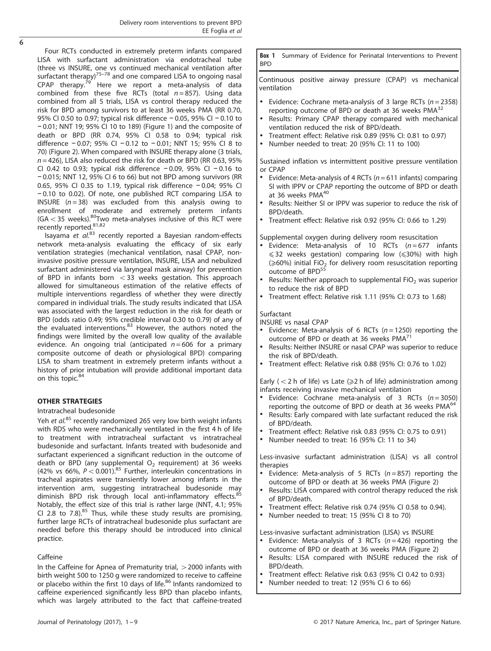$\overline{6}$ 

Four RCTs conducted in extremely preterm infants compared LISA with surfactant administration via endotracheal tube (three vs INSURE, [one v](#page-7-0)s continued mechanical ventilation after surfactant therapy)<sup>75–78</sup> and one compared LISA to ongoing nasal<br>CPAP therapy.<sup>79</sup> Here we report a meta-analysis of data  $\frac{1}{2}$  Here we report a meta-analysis of data combined from these five RCTs (total  $n = 857$ ). Using data combined from all 5 trials, LISA vs control therapy reduced the risk for BPD among survivors to at least 36 weeks PMA (RR 0.70, 95% CI 0.50 to 0.97; typical risk difference − 0.05, 95% CI − 0.10 to − 0.01; NNT 19; 95% CI 10 to 189) [\(Figure 1](#page-4-0)) and the composite of death or BPD (RR 0.74, 95% CI 0.58 to 0.94; typical risk difference − 0.07; 95% CI − 0.12 to − 0.01; NNT 15; 95% CI 8 to 70) ([Figure 2](#page-4-0)). When compared with INSURE therapy alone (3 trials,  $n = 426$ ), LISA also reduced the risk for death or BPD (RR 0.63, 95% CI 0.42 to 0.93; typical risk difference − 0.09, 95% CI − 0.16 to − 0.015; NNT 12, 95% CI 6 to 66) but not BPD among survivors (RR 0.65, 95% CI 0.35 to 1.19, typical risk difference − 0.04; 95% CI − 0.10 to 0.02). Of note, one published RCT comparing LISA to INSURE  $(n = 38)$  was excluded from this analysis owing to enrollment of moderate and extremely preterm infants  $(GA < 35$  weeks).<sup>80</sup>Two meta-analyses inclusive of this RCT were recently reported.<sup>[81,](#page-7-0)[82](#page-8-0)</sup>

Isayama et  $al^{83}$  $al^{83}$  $al^{83}$  recently reported a Bayesian random-effects network meta-analysis evaluating the efficacy of six early ventilation strategies (mechanical ventilation, nasal CPAP, noninvasive positive pressure ventilation, INSURE, LISA and nebulized surfactant administered via laryngeal mask airway) for prevention of BPD in infants born  $<$  33 weeks gestation. This approach allowed for simultaneous estimation of the relative effects of multiple interventions regardless of whether they were directly compared in individual trials. The study results indicated that LISA was associated with the largest reduction in the risk for death or BPD (odds ratio 0.49; 95% credible interval 0.30 to 0.79) of any of the evaluated interventions.<sup>[83](#page-8-0)</sup> However, the authors noted the findings were limited by the overall low quality of the available evidence. An ongoing trial (anticipated  $n = 606$  for a primary composite outcome of death or physiological BPD) comparing LISA to sham treatment in extremely preterm infants without a history of prior intubation will provide additional important data on this topic.<sup>[84](#page-8-0)</sup>

#### OTHER STRATEGIES

#### Intratracheal budesonide

Yeh et  $al^{85}$  $al^{85}$  $al^{85}$  recently randomized 265 very low birth weight infants with RDS who were mechanically ventilated in the first 4 h of life to treatment with intratracheal surfactant vs intratracheal budesonide and surfactant. Infants treated with budesonide and surfactant experienced a significant reduction in the outcome of death or BPD (any supplemental  $O<sub>2</sub>$  requirement) at 36 weeks (42% vs 66%,  $P < 0.001$ ).<sup>[85](#page-8-0)</sup> Further, interleukin concentrations in tracheal aspirates were transiently lower among infants in the intervention arm, suggesting intratracheal budesonide may diminish BPD risk through local anti-inflammatory effects. $\epsilon$ Notably, the effect size of this trial is rather large (NNT, 4.1; 95% CI 2.8 to 7.8). $85$  Thus, while these study results are promising, further large RCTs of intratracheal budesonide plus surfactant are needed before this therapy should be introduced into clinical practice.

#### Caffeine

In the Caffeine for Apnea of Prematurity trial,  $>$  2000 infants with birth weight 500 to 1250 g were randomized to receive to caffeine or placebo within the first 10 days of life.<sup>[86](#page-8-0)</sup> Infants randomized to caffeine experienced significantly less BPD than placebo infants, which was largely attributed to the fact that caffeine-treated

Box 1 Summary of Evidence for Perinatal Interventions to Prevent BPD

Continuous positive airway pressure (CPAP) vs mechanical ventilation

- Evidence: Cochrane meta-analysis of 3 large RCTs ( $n = 2358$ ) reporting outcome of BPD or death at 36 weeks  $PMA<sup>32</sup>$  $PMA<sup>32</sup>$  $PMA<sup>32</sup>$
- Results: Primary CPAP therapy compared with mechanical ventilation reduced the risk of BPD/death.
- Treatment effect: Relative risk 0.89 (95% CI: 0.81 to 0.97)
- Number needed to treat:  $20$  (95% CI: 11 to 100)

Sustained inflation vs intermittent positive pressure ventilation or CPAP

- Evidence: Meta-analysis of 4 RCTs ( $n = 611$  infants) comparing SI with IPPV or CPAP reporting the outcome of BPD or death at 36 weeks PMA<sup>40</sup>
- Results: Neither SI or IPPV was superior to reduce the risk of BPD/death.
- Treatment effect: Relative risk 0.92 (95% CI: 0.66 to 1.29)

Supplemental oxygen during delivery room resuscitation

- Evidence: Meta-analysis of 10 RCTs  $(n = 677$  infants  $\leq$  32 weeks gestation) comparing low ( $\leq$  30%) with high  $(\geq 60\%)$  initial FiO<sub>2</sub> for delivery room resuscitation reporting outcome of BPD<sup>[55](#page-7-0)</sup>
- Results: Neither approach to supplemental  $FiO<sub>2</sub>$  was superior to reduce the risk of BPD
- Treatment effect: Relative risk 1.11 (95% CI: 0.73 to 1.68)

#### Surfactant

#### INSURE vs nasal CPAP

- Evidence: Meta-analysis of 6 RCTs  $(n = 1250)$  reporting the outcome of BPD or death at 36 weeks  $PMA<sup>7</sup>$
- Results: Neither INSURE or nasal CPAP was superior to reduce the risk of BPD/death.
- Treatment effect: Relative risk 0.88 (95% CI: 0.76 to 1.02)

Early ( $<$  2 h of life) vs Late ( $\ge$ 2 h of life) administration among infants receiving invasive mechanical ventilation

- Evidence: Cochrane meta-analysis of 3 RCTs  $(n = 3050)$ reporting the outcome of BPD or death at 36 weeks PMA<sup>[64](#page-7-0)</sup>
- Results: Early compared with late surfactant reduced the risk of BPD/death.
- Treatment effect: Relative risk 0.83 (95% CI: 0.75 to 0.91)
- Number needed to treat: 16 (95% CI: 11 to 34)

Less-invasive surfactant administration (LISA) vs all control therapies

- Evidence: Meta-analysis of 5 RCTs ( $n = 857$ ) reporting the outcome of BPD or death at 36 weeks PMA ([Figure 2\)](#page-4-0)
- Results: LISA compared with control therapy reduced the risk of BPD/death.
- Treatment effect: Relative risk 0.74 (95% CI 0.58 to 0.94).
- Number needed to treat: 15 (95% CI 8 to 70)

Less-invasive surfactant administration (LISA) vs INSURE

- Evidence: Meta-analysis of 3 RCTs  $(n = 426)$  reporting the outcome of BPD or death at 36 weeks PMA ([Figure 2\)](#page-4-0)
- Results: LISA compared with INSURE reduced the risk of BPD/death.
- Treatment effect: Relative risk 0.63 (95% CI 0.42 to 0.93)
- Number needed to treat: 12 (95% CI 6 to 66)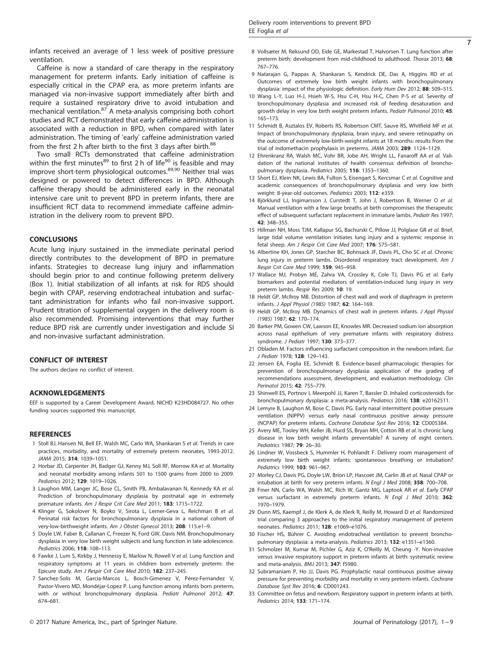<span id="page-6-0"></span>infants received an average of 1 less week of positive pressure ventilation.

Caffeine is now a standard of care therapy in the respiratory management for preterm infants. Early initiation of caffeine is especially critical in the CPAP era, as more preterm infants are managed via non-invasive support immediately after birth and require a sustained respiratory drive to avoid intubation and mechanical ventilation.<sup>[87](#page-8-0)</sup> A meta-analysis comprising both cohort studies and RCT demonstrated that early caffeine administration is associated with a reduction in BPD, when compared with later administration. The timing of 'early' caffeine administration varied from the first 2 h after birth to the first 3 days after birth. $88$ 

Two small RCTs demonstrated that caffeine administration within the first minutes $^{89}$  to first 2 h of life $^{90}$  $^{90}$  $^{90}$  is feasible and may improve short-term physiological outcomes.[89](#page-8-0),[90](#page-8-0) Neither trial was designed or powered to detect differences in BPD. Although caffeine therapy should be administered early in the neonatal intensive care unit to prevent BPD in preterm infants, there are insufficient RCT data to recommend immediate caffeine administration in the delivery room to prevent BPD.

#### **CONCLUSIONS**

Acute lung injury sustained in the immediate perinatal period directly contributes to the development of BPD in premature infants. Strategies to decrease lung injury and inflammation should begin prior to and continue following preterm delivery (Box 1). Initial stabilization of all infants at risk for RDS should begin with CPAP, reserving endotracheal intubation and surfactant administration for infants who fail non-invasive support. Prudent titration of supplemental oxygen in the delivery room is also recommended. Promising interventions that may further reduce BPD risk are currently under investigation and include SI and non-invasive surfactant administration.

### CONFLICT OF INTEREST

The authors declare no conflict of interest.

#### ACKNOWLEDGEMENTS

EEF is supported by a Career Development Award, NICHD K23HD084727. No other funding sources supported this manuscript.

#### **REFERENCES**

- 1 Stoll BJ, Hansen NI, Bell EF, Walsh MC, Carlo WA, Shankaran S et al. Trends in care practices, morbidity, and mortality of extremely preterm neonates, 1993-2012. JAMA 2015; 314: 1039–1051.
- 2 Horbar JD, Carpenter JH, Badger GJ, Kenny MJ, Soll RF, Morrow KA et al. Mortality and neonatal morbidity among infants 501 to 1500 grams from 2000 to 2009. Pediatrics 2012; 129: 1019–1026.
- 3 Laughon MM, Langer JC, Bose CL, Smith PB, Ambalavanan N, Kennedy KA et al. Prediction of bronchopulmonary dysplasia by postnatal age in extremely premature infants. Am J Respir Crit Care Med 2011; 183: 1715–1722.
- 4 Klinger G, Sokolover N, Boyko V, Sirota L, Lerner-Geva L, Reichman B et al. Perinatal risk factors for bronchopulmonary dysplasia in a national cohort of very-low-birthweight infants. Am J Obstet Gynecol 2013; 208: 115.e1–9.
- 5 Doyle LW, Faber B, Callanan C, Freezer N, Ford GW, Davis NM. Bronchopulmonary dysplasia in very low birth weight subjects and lung function in late adolescence. Pediatrics 2006; 118: 108–113.
- 6 Fawke J, Lum S, Kirkby J, Hennessy E, Marlow N, Rowell V et al. Lung function and respiratory symptoms at 11 years in children born extremely preterm: the Epicure study. Am J Respir Crit Care Med 2010; 182: 237–245.
- 7 Sanchez-Solis M, Garcia-Marcos L, Bosch-Gimenez V, Pérez-Fernandez V, Pastor-Vivero MD, Mondéjar-Lopez P. Lung function among infants born preterm, with or without bronchopulmonary dysplasia. Pediatr Pulmonol 2012; 47: 674–681.
- 8 Vollsæter M, Røksund OD, Eide GE, Markestad T, Halvorsen T. Lung function after preterm birth: development from mid-childhood to adulthood. Thorax 2013; 68: 767–776.
- 9 Natarajan G, Pappas A, Shankaran S, Kendrick DE, Das A, Higgins RD et al. Outcomes of extremely low birth weight infants with bronchopulmonary dysplasia: impact of the physiologic definition. Early Hum Dev 2012; 88: 509-515.
- 10 Wang L-Y, Luo H-J, Hsieh W-S, Hsu C-H, Hsu H-C, Chen P-S et al. Severity of bronchopulmonary dysplasia and increased risk of feeding desaturation and growth delay in very low birth weight preterm infants. Pediatr Pulmonol 2010; 45: 165–173.
- 11 Schmidt B, Asztalos EV, Roberts RS, Robertson CMT, Sauve RS, Whitfield MF et al. Impact of bronchopulmonary dysplasia, brain injury, and severe retinopathy on the outcome of extremely low-birth-weight infants at 18 months: results from the trial of indomethacin prophylaxis in preterms. JAMA 2003; 289: 1124–1129.
- 12 Ehrenkranz RA, Walsh MC, Vohr BR, Jobe AH, Wright LL, Fanaroff AA et al. Validation of the national institutes of health consensus definition of bronchopulmonary dysplasia. Pediatrics 2005; 116: 1353–1360.
- 13 Short EJ, Klein NK, Lewis BA, Fulton S, Eisengart S, Kercsmar C et al. Cognitive and academic consequences of bronchopulmonary dysplasia and very low birth weight: 8-year-old outcomes. Pediatrics 2003; 112: e359.
- 14 Biörklund LJ, Ingimarsson J, Curstedt T, John J, Robertson B, Werner O et al. Manual ventilation with a few large breaths at birth compromises the therapeutic effect of subsequent surfactant replacement in immature lambs. Pediatr Res 1997; 42: 348–355.
- 15 Hillman NH, Moss TJM, Kallapur SG, Bachurski C, Pillow JJ, Polglase GR et al. Brief, large tidal volume ventilation initiates lung injury and a systemic response in fetal sheep. Am J Respir Crit Care Med 2007; 176: 575–581.
- 16 Albertine KH, Jones GP, Starcher BC, Bohnsack JF, Davis PL, Cho SC et al. Chronic lung injury in preterm lambs. Disordered respiratory tract development. Am J Respir Crit Care Med 1999; 159: 945–958.
- 17 Wallace MJ, Probyn ME, Zahra VA, Crossley K, Cole TJ, Davis PG et al. Early biomarkers and potential mediators of ventilation-induced lung injury in very preterm lambs. Respir Res 2009; 10: 19.
- 18 Heldt GP, McIlroy MB. Distortion of chest wall and work of diaphragm in preterm infants. J Appl Physiol (1985) 1987; 62: 164–169.
- 19 Heldt GP, McIlroy MB. Dynamics of chest wall in preterm infants. J Appl Physiol (1985) 1987; 62: 170–174.
- 20 Barker PM, Gowen CW, Lawson EE, Knowles MR. Decreased sodium ion absorption across nasal epithelium of very premature infants with respiratory distress syndrome. J Pediatr 1997; 130: 373–377.
- 21 Obladen M. Factors influencing surfactant composition in the newborn infant. Eur J Pediatr 1978; 128: 129–143.
- 22 Jensen EA, Foglia EE, Schmidt B. Evidence-based pharmacologic therapies for prevention of bronchopulmonary dysplasia: application of the grading of recommendations assessment, development, and evaluation methodology. Clin Perinatol 2015; 42: 755–779.
- 23 Shinwell ES, Portnov I, Meerpohl JJ, Karen T, Bassler D. Inhaled corticosteroids for bronchopulmonary dysplasia: a meta-analysis. Pediatrics 2016; 138: e20162511.
- 24 Lemyre B, Laughon M, Bose C, Davis PG. Early nasal intermittent positive pressure ventilation (NIPPV) versus early nasal continuous positive airway pressure (NCPAP) for preterm infants. Cochrane Database Syst Rev 2016; 12: CD005384.
- 25 Avery ME, Tooley WH, Keller JB, Hurd SS, Bryan MH, Cotton RB et al. Is chronic lung disease in low birth weight infants preventable? A survey of eight centers. Pediatrics 1987; 79: 26–30.
- 26 Lindner W, Vossbeck S, Hummler H, Pohlandt F. Delivery room management of extremely low birth weight infants: spontaneous breathing or intubation? Pediatrics 1999; 103: 961–967.
- 27 Morley CJ, Davis PG, Doyle LW, Brion LP, Hascoet JM, Carlin JB et al. Nasal CPAP or intubation at birth for very preterm infants. N Engl J Med 2008; 358: 700–708.
- 28 Finer NN, Carlo WA, Walsh MC, Rich W, Gantz MG, Laptook AR et al. Early CPAP versus surfactant in extremely preterm infants. N Engl J Med 2010; 362: 1970–1979.
- 29 Dunn MS, Kaempf J, de Klerk A, de Klerk R, Reilly M, Howard D et al. Randomized trial comparing 3 approaches to the initial respiratory management of preterm neonates. Pediatrics 2011; 128: e1069–e1076.
- 30 Fischer HS, Bührer C. Avoiding endotracheal ventilation to prevent bronchopulmonary dysplasia: a meta-analysis. Pediatrics 2013; 132: e1351–e1360.
- 31 Schmolzer M, Kumar M, Pichler G, Aziz K, O'Reilly M, Cheung -Y. Non-invasive versus invasive respiratory support in preterm infants at birth: systematic review and meta-analysis. BMJ 2013; 347: f5980.
- 32 Subramaniam P, Ho JJ, Davis PG. Prophylactic nasal continuous positive airway pressure for preventing morbidity and mortality in very preterm infants. Cochrane Database Syst Rev 2016; 6: CD001243.
- 33 Committee on fetus and newborn. Respiratory support in preterm infants at birth. Pediatrics 2014; 133: 171–174.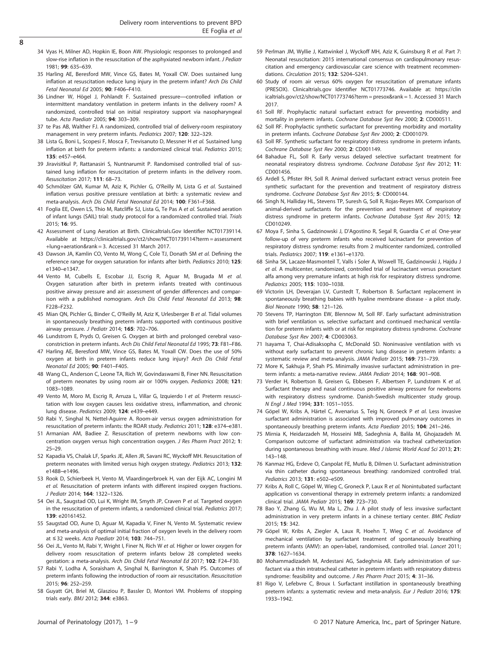- <span id="page-7-0"></span> $\overline{8}$
- 34 Vyas H, Milner AD, Hopkin IE, Boon AW. Physiologic responses to prolonged and slow-rise inflation in the resuscitation of the asphyxiated newborn infant. J Pediatr 1981; 99: 635–639.
- 35 Harling AE, Beresford MW, Vince GS, Bates M, Yoxall CW. Does sustained lung inflation at resuscitation reduce lung injury in the preterm infant? Arch Dis Child Fetal Neonatal Ed 2005; 90: F406–F410.
- 36 Lindner W, Högel J, Pohlandt F. Sustained pressure—controlled inflation or intermittent mandatory ventilation in preterm infants in the delivery room? A randomized, controlled trial on initial respiratory support via nasopharyngeal tube. Acta Paediatr 2005; 94: 303–309.
- 37 te Pas AB, Walther FJ. A randomized, controlled trial of delivery-room respiratory management in very preterm infants. Pediatrics 2007; 120: 322–329.
- 38 Lista G, Boni L, Scopesi F, Mosca F, Trevisanuto D, Messner H et al. Sustained lung inflation at birth for preterm infants: a randomized clinical trial. Pediatrics 2015; 135: e457–e464.
- 39 Jiravisitkul P, Rattanasiri S, Nuntnarumit P. Randomised controlled trial of sustained lung inflation for resuscitation of preterm infants in the delivery room. Resuscitation 2017; 111: 68–73.
- 40 Schmölzer GM, Kumar M, Aziz K, Pichler G, O'Reilly M, Lista G et al. Sustained inflation versus positive pressure ventilation at birth: a systematic review and meta-analysis. Arch Dis Child Fetal Neonatal Ed 2014; 100: F361–F368.
- 41 Foglia EE, Owen LS, Thio M, Ratcliffe SJ, Lista G, Te Pas A et al. Sustained aeration of infant lungs (SAIL) trial: study protocol for a randomized controlled trial. Trials 2015; 16: 95.
- 42 Assessment of Lung Aeration at Birth. Clinicaltrials.Gov Identifier NCT01739114. Available at [https://clinicaltrials.gov/ct2/show/NCT01739114?term = assessment](https://clinicaltrials.gov/ct2/show/NCT01739114?term�=�assessment+lung+aeration&rank�=�3) [+lung+aeration&rank = 3](https://clinicaltrials.gov/ct2/show/NCT01739114?term�=�assessment+lung+aeration&rank�=�3). Accessed 31 March 2017.
- 43 Dawson JA, Kamlin CO, Vento M, Wong C, Cole TJ, Donath SM et al. Defining the reference range for oxygen saturation for infants after birth. Pediatrics 2010; 125: e1340–e1347.
- 44 Vento M, Cubells E, Escobar JJ, Escrig R, Aguar M, Brugada M et al. Oxygen saturation after birth in preterm infants treated with continuous positive airway pressure and air: assessment of gender differences and comparison with a published nomogram. Arch Dis Child Fetal Neonatal Ed 2013; 98: F228–F232.
- 45 Mian QN, Pichler G, Binder C, O'Reilly M, Aziz K, Urlesberger B et al. Tidal volumes in spontaneously breathing preterm infants supported with continuous positive airway pressure. J Pediatr 2014; 165: 702–706.
- 46 Lundstrom E, Pryds O, Greisen G. Oxygen at birth and prolonged cerebral vasoconstriction in preterm infants. Arch Dis Child Fetal Neonatal Ed 1995; 73: F81–F86.
- 47 Harling AE, Beresford MW, Vince GS, Bates M, Yoxall CW. Does the use of 50% oxygen at birth in preterm infants reduce lung injury? Arch Dis Child Fetal Neonatal Ed 2005; 90: F401–F405.
- 48 Wang CL, Anderson C, Leone TA, Rich W, Govindaswami B, Finer NN. Resuscitation of preterm neonates by using room air or 100% oxygen. Pediatrics 2008; 121: 1083–1089.
- 49 Vento M, Moro M, Escrig R, Arruza L, Villar G, Izquierdo I et al. Preterm resuscitation with low oxygen causes less oxidative stress, inflammation, and chronic lung disease. Pediatrics 2009; 124: e439–e449.
- 50 Rabi Y, Singhal N, Nettel-Aguirre A. Room-air versus oxygen administration for resuscitation of preterm infants: the ROAR study. Pediatrics 2011; 128: e374–e381.
- 51 Armanian AM, Badiee Z. Resuscitation of preterm newborns with low concentration oxygen versus high concentration oxygen. J Res Pharm Pract 2012; 1: 25–29.
- 52 Kapadia VS, Chalak LF, Sparks JE, Allen JR, Savani RC, Wyckoff MH. Resuscitation of preterm neonates with limited versus high oxygen strategy. Pediatrics 2013; 132: e1488–e1496.
- 53 Rook D, Schierbeek H, Vento M, Vlaardingerbroek H, van der Eijk AC, Longini M et al. Resuscitation of preterm infants with different inspired oxygen fractions. J Pediatr 2014; 164: 1322–1326.
- 54 Oei JL, Saugstad OD, Lui K, Wright IM, Smyth JP, Craven P et al. Targeted oxygen in the resuscitation of preterm infants, a randomized clinical trial. Pediatrics 2017; 139: e20161452.
- 55 Saugstad OD, Aune D, Aguar M, Kapadia V, Finer N, Vento M. Systematic review and meta-analysis of optimal initial fraction of oxygen levels in the delivery room at ≤ 32 weeks. Acta Paediatr 2014; 103: 744–751.
- 56 Oei JL, Vento M, Rabi Y, Wright I, Finer N, Rich W et al. Higher or lower oxygen for delivery room resuscitation of preterm infants below 28 completed weeks gestation: a meta-analysis. Arch Dis Child Fetal Neonatal Ed 2017; 102: F24–F30.
- 57 Rabi Y, Lodha A, Soraisham A, Singhal N, Barrington K, Shah PS. Outcomes of preterm infants following the introduction of room air resuscitation. Resuscitation 2015; 96: 252–259.
- 58 Guyatt GH, Briel M, Glasziou P, Bassler D, Montori VM. Problems of stopping trials early. BMJ 2012; 344: e3863.
- 59 Perlman JM, Wyllie J, Kattwinkel J, Wyckoff MH, Aziz K, Guinsburg R et al. Part 7: Neonatal resuscitation: 2015 international consensus on cardiopulmonary resuscitation and emergency cardiovascular care science with treatment recommendations. Circulation 2015; 132: S204–S241.
- 60 Study of room air versus 60% oxygen for resuscitation of premature infants (PRESOX). Clinicaltrials.gov Identifier NCT01773746. Available at: [https://clin](https://clinicaltrials.gov/ct2/show/NCT01773746?term�=�presox&rank�=�1) [icaltrials.gov/ct2/show/NCT01773746?term = presox&rank = 1](https://clinicaltrials.gov/ct2/show/NCT01773746?term�=�presox&rank�=�1). Accessed 31 March 2017.
- 61 Soll RF. Prophylactic natural surfactant extract for preventing morbidity and mortality in preterm infants. Cochrane Database Syst Rev 2000; 2: CD000511.
- 62 Soll RF. Prophylactic synthetic surfactant for preventing morbidity and mortality in preterm infants. Cochrane Database Syst Rev 2000; 2: CD001079.
- 63 Soll RF. Synthetic surfactant for respiratory distress syndrome in preterm infants. Cochrane Database Syst Rev 2000; 2: CD001149.
- 64 Bahadue FL, Soll R. Early versus delayed selective surfactant treatment for neonatal respiratory distress syndrome. Cochrane Database Syst Rev 2012; 11: CD001456.
- 65 Ardell S, Pfister RH, Soll R. Animal derived surfactant extract versus protein free synthetic surfactant for the prevention and treatment of respiratory distress syndrome. Cochrane Database Syst Rev 2015; 5: CD000144.
- 66 Singh N, Halliday HL, Stevens TP, Suresh G, Soll R, Rojas-Reyes MX. Comparison of animal-derived surfactants for the prevention and treatment of respiratory distress syndrome in preterm infants. Cochrane Database Syst Rev 2015; 12: CD010249.
- 67 Moya F, Sinha S, Gadzinowski J, D'Agostino R, Segal R, Guardia C et al. One-year follow-up of very preterm infants who received lucinactant for prevention of respiratory distress syndrome: results from 2 multicenter randomized, controlled trials. Pediatrics 2007; 119: e1361–e1370.
- 68 Sinha SK, Lacaze-Masmonteil T, Valls i Soler A, Wiswell TE, Gadzinowski J, Hajdu J et al. A multicenter, randomized, controlled trial of lucinactant versus poractant alfa among very premature infants at high risk for respiratory distress syndrome. Pediatrics 2005; 115: 1030–1038.
- 69 Victorin LH, Deverajan LV, Curstedt T, Robertson B. Surfactant replacement in spontaneously breathing babies with hyaline membrane disease - a pilot study. Biol Neonate 1990; 58: 121–126.
- 70 Stevens TP, Harrington EW, Blennow M, Soll RF. Early surfactant administration with brief ventilation vs. selective surfactant and continued mechanical ventilation for preterm infants with or at risk for respiratory distress syndrome. Cochrane Database Syst Rev 2007; 4: CD003063.
- 71 Isayama T, Chai-Adisaksopha C, McDonald SD. Noninvasive ventilation with vs without early surfactant to prevent chronic lung disease in preterm infants: a systematic review and meta-analysis. JAMA Pediatr 2015; 169: 731–739.
- 72 More K, Sakhuja P, Shah PS. Minimally invasive surfactant administration in preterm infants: a meta-narrative review. JAMA Pediatr 2014; 168: 901–908.
- 73 Verder H, Robertson B, Greisen G, Ebbesen F, Albertsen P, Lundstrøm K et al. Surfactant therapy and nasal continuous positive airway pressure for newborns with respiratory distress syndrome. Danish-Swedish multicenter study group. N Engl J Med 1994; 331: 1051–1055.
- 74 Göpel W, Kribs A, Härtel C, Avenarius S, Teig N, Groneck P et al. Less invasive surfactant administration is associated with improved pulmonary outcomes in spontaneously breathing preterm infants. Acta Paediatr 2015; 104: 241–246.
- 75 Mirnia K, Heidarzadeh M, Hosseini MB, Sadeghnia A, Balila M, Ghojazadeh M. Comparison outcome of surfactant administration via tracheal catheterization during spontaneous breathing with insure. Med J Islamic World Acad Sci 2013; 21: 143–148.
- 76 Kanmaz HG, Erdeve O, Canpolat FE, Mutlu B, Dilmen U. Surfactant administration via thin catheter during spontaneous breathing: randomized controlled trial. Pediatrics 2013; 131: e502–e509.
- 77 Kribs A, Roll C, Göpel W, Wieg C, Groneck P, Laux R et al. Nonintubated surfactant application vs conventional therapy in extremely preterm infants: a randomized clinical trial. JAMA Pediatr 2015; 169: 723–730.
- 78 Bao Y, Zhang G, Wu M, Ma L, Zhu J. A pilot study of less invasive surfactant administration in very preterm infants in a chinese tertiary center. BMC Pediatr 2015; 15: 342.
- 79 Göpel W, Kribs A, Ziegler A, Laux R, Hoehn T, Wieg C et al. Avoidance of mechanical ventilation by surfactant treatment of spontaneously breathing preterm infants (AMV): an open-label, randomised, controlled trial. Lancet 2011; 378: 1627–1634.
- 80 Mohammadizadeh M, Ardestani AG, Sadeghnia AR. Early administration of surfactant via a thin intratracheal catheter in preterm infants with respiratory distress syndrome: feasibility and outcome. J Res Pharm Pract 2015; 4: 31-36.
- 81 Rigo V, Lefebvre C, Broux I. Surfactant instillation in spontaneously breathing preterm infants: a systematic review and meta-analysis. Eur J Pediatr 2016; 175: 1933–1942.